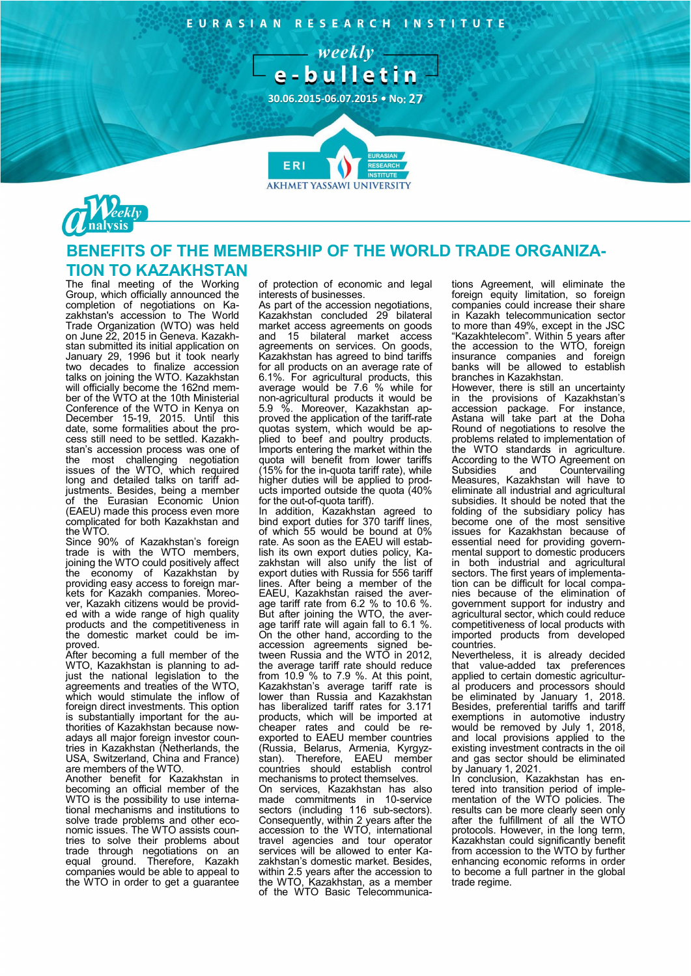EURASIAN RESEARCH INSTITUTE





## BENEFITS OF THE MEMBERSHIP OF THE WORLD TRADE ORGANIZA-TION TO KAZAKHSTAN

**AKHMET YASSAWI UNIVERSITY** 

The final meeting of the Working Group, which officially announced the completion of negotiations on Kazakhstan's accession to The World Trade Organization (WTO) was held on June 22, 2015 in Geneva. Kazakhstan submitted its initial application on January 29, 1996 but it took nearly two decades to finalize accession talks on joining the WTO. Kazakhstan will officially become the 162nd member of the WTO at the 10th Ministerial Conference of the WTO in Kenya on December 15-19, 2015. Until this date, some formalities about the process still need to be settled. Kazakhstan's accession process was one of the most challenging negotiation issues of the WTO, which required long and detailed talks on tariff adjustments. Besides, being a member of the Eurasian Economic Union (EAEU) made this process even more complicated for both Kazakhstan and the WTO.

Since 90% of Kazakhstan's foreign trade is with the WTO members, joining the WTO could positively affect the economy of Kazakhstan by providing easy access to foreign markets for Kazakh companies. Moreover, Kazakh citizens would be provided with a wide range of high quality products and the competitiveness in the domestic market could be improved.

After becoming a full member of the WTO, Kazakhstan is planning to adjust the national legislation to the agreements and treaties of the WTO, which would stimulate the inflow of foreign direct investments. This option is substantially important for the authorities of Kazakhstan because nowadays all major foreign investor countries in Kazakhstan (Netherlands, the USA, Switzerland, China and France) are members of the WTO.

Another benefit for Kazakhstan in becoming an official member of the WTO is the possibility to use international mechanisms and institutions to solve trade problems and other economic issues. The WTO assists countries to solve their problems about trade through negotiations on an equal ground. Therefore, Kazakh companies would be able to appeal to the WTO in order to get a quarantee

of protection of economic and legal interests of businesses.

As part of the accession negotiations, Kazakhstan concluded 29 bilateral market access agreements on goods and 15 bilateral market access agreements on services. On goods, Kazakhstan has agreed to bind tariffs for all products on an average rate of 6.1%. For agricultural products, this average would be 7.6 % while for non-agricultural products it would be 5.9 %. Moreover, Kazakhstan approved the application of the tariff-rate quotas system, which would be applied to beef and poultry products. Imports entering the market within the quota will benefit from lower tariffs (15% for the in-quota tariff rate), while higher duties will be applied to products imported outside the quota (40% for the out-of-quota tariff).

In addition, Kazakhstan agreed to bind export duties for 370 tariff lines, of which 55 would be bound at 0% rate. As soon as the EAEU will establish its own export duties policy, Kazakhstan will also unify the list of export duties with Russia for 556 tariff lines. After being a member of the EAEU, Kazakhstan raised the average tariff rate from 6.2 % to 10.6 %. But after joining the WTO, the average tariff rate will again fall to 6.1 %. On the other hand, according to the accession agreements signed between Russia and the WTO in 2012, the average tariff rate should reduce from 10.9 % to 7.9 %. At this point, Kazakhstan's average tariff rate is lower than Russia and Kazakhstan has liberalized tariff rates for 3.171 products, which will be imported at<br>cheaper rates and could be reexported to EAEU member countries (Russia, Belarus, Armenia, Kyrgyzstan). Therefore, EAEU member countries should establish control mechanisms to protect themselves.

On services, Kazakhstan has also made commitments in 10-service sectors (including 116 sub-sectors). Consequently, within 2 years after the accession to the WTO, international travel agencies and tour operator services will be allowed to enter Kazakhstan's domestic market. Besides, within 2.5 years after the accession to the WTO, Kazakhstan, as a member of the WTO Basic Telecommunications Agreement, will eliminate the foreign equity limitation, so foreign companies could increase their share in Kazakh telecommunication sector to more than 49%, except in the JSC "Kazakhtelecom". Within 5 years after the accession to the WTO, foreign insurance companies and foreign banks will be allowed to establish branches in Kazakhstan.

However, there is still an uncertainty in the provisions of Kazakhstan's accession package. For instance, Astana will take part at the Doha Round of negotiations to resolve the problems related to implementation of the WTO standards in agriculture. According to the WTO Agreement on<br>Subsidies and Countervailing and Countervailing Measures, Kazakhstan will have to eliminate all industrial and agricultural subsidies. It should be noted that the folding of the subsidiary policy has become one of the most sensitive issues for Kazakhstan because of essential need for providing governmental support to domestic producers in both industrial and agricultural sectors. The first years of implementation can be difficult for local companies because of the elimination of government support for industry and agricultural sector, which could reduce competitiveness of local products with imported products from developed countries.

Nevertheless, it is already decided that value-added tax preferences applied to certain domestic agricultural producers and processors should be eliminated by January 1, 2018. Besides, preferential tariffs and tariff exemptions in automotive industry would be removed by July 1, 2018, and local provisions applied to the existing investment contracts in the oil and gas sector should be eliminated by January 1, 2021.

In conclusion, Kazakhstan has entered into transition period of implementation of the WTO policies. The results can be more clearly seen only after the fulfillment of all the WTO protocols. However, in the long term, Kazakhstan could significantly benefit from accession to the WTO by further enhancing economic reforms in order to become a full partner in the global trade regime.